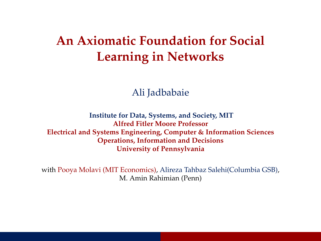## <span id="page-0-0"></span>**An Axiomatic Foundation for Social Learning in Networks**

Ali Jadbabaie

**Institute for Data, Systems, and Society, MIT Alfred Fitler Moore Professor Electrical and Systems Engineering, Computer & Information Sciences Operations, Information and Decisions University of Pennsylvania**

with Pooya Molavi (MIT Economics), Alireza Tahbaz Salehi(Columbia GSB), M. Amin Rahimian (Penn)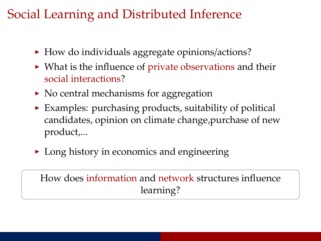## Social Learning and Distributed Inference

- $\blacktriangleright$  How do individuals aggregate opinions/actions?
- $\triangleright$  What is the influence of private observations and their social interactions?
- $\triangleright$  No central mechanisms for aggregation
- $\triangleright$  Examples: purchasing products, suitability of political candidates, opinion on climate change,purchase of new product,...
- $\triangleright$  Long history in economics and engineering

How does information and network structures influence learning?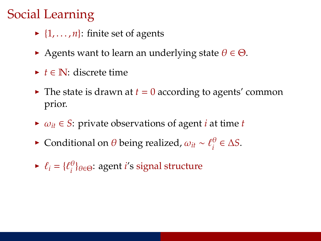# Social Learning

- $\blacktriangleright$  {1, . . . , *n*}: finite set of agents
- Agents want to learn an underlying state  $\theta \in \Theta$ .
- <sup>I</sup> *t* ∈ N: discrete time
- $\blacktriangleright$  The state is drawn at  $t = 0$  according to agents' common prior.
- $\triangleright \omega_{it} \in S$ : private observations of agent *i* at time *t*
- **►** Conditional on  $\theta$  being realized,  $ω_{it} \sim \ell_i^{\theta}$  $\frac{\theta}{i}$  ∈  $\Delta S$ .
- $\blacktriangleright \ell_i = \{ \ell_i^{\theta}$ *i* }θ∈Θ: agent *i*'s signal structure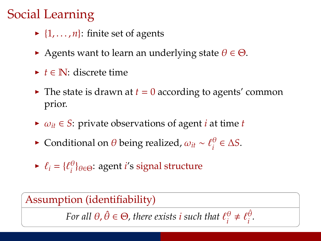# Social Learning

- $\blacktriangleright$  {1, ..., *n*}: finite set of agents
- Agents want to learn an underlying state  $\theta \in \Theta$ .
- <sup>I</sup> *t* ∈ N: discrete time
- $\blacktriangleright$  The state is drawn at  $t = 0$  according to agents' common prior.
- $\triangleright \omega_{it} \in S$ : private observations of agent *i* at time *t*
- **►** Conditional on  $\theta$  being realized,  $ω_{it} \sim \ell_i^{\theta}$  $\frac{\theta}{i}$  ∈  $\Delta S$ .
- $\blacktriangleright \ell_i = \{ \ell_i^{\theta}$ *i* }θ∈Θ: agent *i*'s signal structure

Assumption (identifiability)

*For all*  $\theta$ ,  $\hat{\theta} \in \Theta$ , there exists *i* such that  $\ell_i^{\theta}$  $e_i^{\theta} \neq \ell_i^{\hat{\theta}}$ *i .*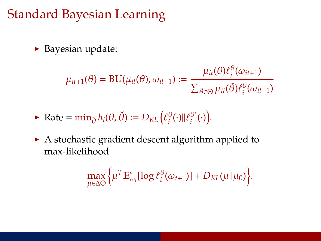### Standard Bayesian Learning

 $\blacktriangleright$  Bayesian update:

$$
\mu_{it+1}(\theta) = \text{BU}(\mu_{it}(\theta), \omega_{it+1}) := \frac{\mu_{it}(\theta)\ell_i^{\theta}(\omega_{it+1})}{\sum_{\tilde{\theta}\in\Theta}\mu_{it}(\tilde{\theta})\ell_i^{\tilde{\theta}}(\omega_{it+1})}
$$

$$
\blacktriangleright \text{ Rate} = \min_{\check{\theta}} h_i(\theta, \check{\theta}) := D_{KL} \left( \ell_i^{\theta}(\cdot) || \ell_i^{\theta^*}(\cdot) \right).
$$

 $\blacktriangleright$  A stochastic gradient descent algorithm applied to max-likelihood

$$
\max_{\mu \in \Delta \Theta} \bigg\{ \mu^T \mathbb{E}^*_{\omega_t} [\log \ell_i^{\theta}(\omega_{t+1})] + D_{KL}(\mu \| \mu_0) \bigg\}.
$$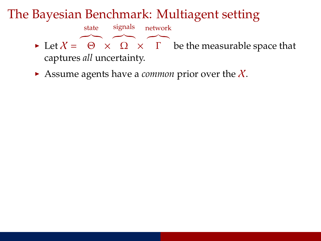#### The Bayesian Benchmark: Multiagent setting

signals

state



network

 $\triangleright$  Assume agents have a *common* prior over the X.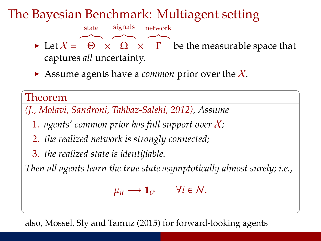### The Bayesian Benchmark: Multiagent setting

signals



network

 $\triangleright$  Assume agents have a *common* prior over the X.

#### Theorem

*(J., Molavi, Sandroni, Tahbaz-Salehi, 2012), Assume*

- 1. *agents' common prior has full support over* X*;*
- 2. *the realized network is strongly connected;*
- 3. *the realized state is identifiable.*

state

*Then all agents learn the true state asymptotically almost surely; i.e.,*

 $\mu_{it} \longrightarrow \mathbf{1}_{\theta^*}$   $\forall i \in \mathcal{N}.$ 

also, Mossel, Sly and Tamuz (2015) for forward-looking agents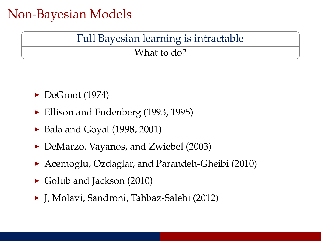### Non-Bayesian Models

### Full Bayesian learning is intractable

#### What to do?

- $\blacktriangleright$  DeGroot (1974)
- Ellison and Fudenberg  $(1993, 1995)$
- $\blacktriangleright$  Bala and Goyal (1998, 2001)
- DeMarzo, Vayanos, and Zwiebel (2003)
- ▶ Acemoglu, Ozdaglar, and Parandeh-Gheibi (2010)
- $\triangleright$  Golub and Jackson (2010)
- ► J, Molavi, Sandroni, Tahbaz-Salehi (2012)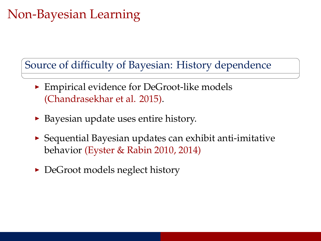# Non-Bayesian Learning

Source of difficulty of Bayesian: History dependence

- $\blacktriangleright$  Empirical evidence for DeGroot-like models (Chandrasekhar et al. 2015).
- $\triangleright$  Bayesian update uses entire history.
- $\triangleright$  Sequential Bayesian updates can exhibit anti-imitative behavior (Eyster & Rabin 2010, 2014)
- $\triangleright$  DeGroot models neglect history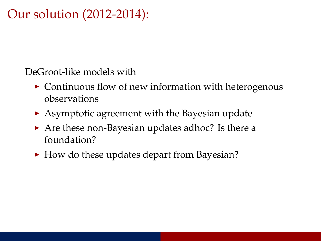### Our solution (2012-2014):

DeGroot-like models with

- $\triangleright$  Continuous flow of new information with heterogenous observations
- $\triangleright$  Asymptotic agreement with the Bayesian update
- $\triangleright$  Are these non-Bayesian updates adhoc? Is there a foundation?
- $\blacktriangleright$  How do these updates depart from Bayesian?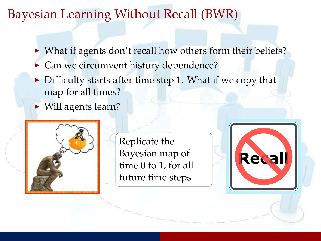### Bayesian Learning Without Recall (BWR)

- $\triangleright$  What if agents don't recall how others form their beliefs?
- $\triangleright$  Can we circumvent history dependence?
- $\triangleright$  Difficulty starts after time step 1. What if we copy that map for all times?
- $\blacktriangleright$  Will agents learn?



Replicate the Bayesian map of time 0 to 1, for all future time steps

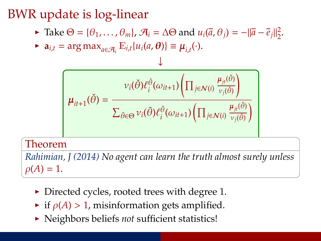# BWR update is log-linear

 $\blacktriangleright$  Take  $\Theta = {\theta_1, ..., \theta_m}$ ,  $\mathcal{A}_i = \Delta \Theta$  and  $u_i(\overline{a}, \theta_j) = -\|\overline{a} - \overline{e}_j\|^2_2$  $rac{2}{2}$ .

↓

 $\blacktriangleright$  **a**<sub>*i*,*t*</sub> = arg max<sub>*a*∈A<sub>*i*</sub></sub>  $\mathbb{E}_{i,t}$ {*u*<sub>*i*</sub>(*a*, *θ*)} ≡  $\mu_{i,t}(\cdot)$ .

$$
\mu_{it+1}(\check{\theta}) = \frac{v_i(\check{\theta})\ell_i^{\check{\theta}}(\omega_{it+1}) \left(\prod_{j \in \mathcal{N}(i)} \frac{\mu_{jt}(\check{\theta})}{v_j(\check{\theta})}\right)}{\sum_{\tilde{\theta} \in \Theta} v_i(\tilde{\theta})\ell_i^{\tilde{\theta}}(\omega_{it+1}) \left(\prod_{j \in \mathcal{N}(i)} \frac{\mu_{jt}(\tilde{\theta})}{v_j(\tilde{\theta})}\right)}
$$

#### Theorem

*Rahimian, J (2014) No agent can learn the truth almost surely unless*  $\rho(A) = 1.$ 

- $\triangleright$  Directed cycles, rooted trees with degree 1.
- $\triangleright$  if  $\rho(A) > 1$ , misinformation gets amplified.
- **In Neighbors beliefs** *not* sufficient statistics!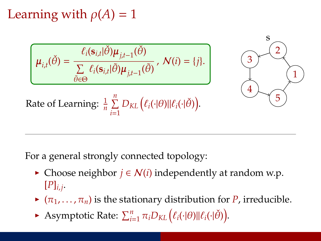Learning with  $\rho(A) = 1$ 

$$
\boldsymbol{\mu}_{i,t}(\check{\theta}) = \frac{\ell_i(\mathbf{s}_{i,t}|\check{\theta})\boldsymbol{\mu}_{j,t-1}(\check{\theta})}{\sum\limits_{\tilde{\theta}\in\Theta}\ell_i(\mathbf{s}_{i,t}|\tilde{\theta})\boldsymbol{\mu}_{j,t-1}(\tilde{\theta})}, \ \mathcal{N}(i) = \{j\}.
$$



Rate of Learning: 
$$
\frac{1}{n} \sum_{i=1}^{n} D_{KL} (\ell_i(\cdot | \theta) || \ell_i(\cdot | \check{\theta})).
$$

For a general strongly connected topology:

- $\triangleright$  Choose neighbor *j* ∈ *N*(*i*) independently at random w.p.  $[P]_{i,j}$ .
- $\blacktriangleright$   $(\pi_1, \ldots, \pi_n)$  is the stationary distribution for *P*, irreducible.
- Asymptotic Rate:  $\sum_{i=1}^{n} \pi_i D_{KL} (\ell_i(\cdot | \theta) || \ell_i(\cdot | \check{\theta}))$ .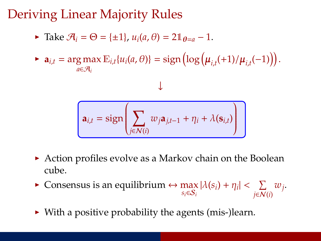## Deriving Linear Majority Rules

- $\triangleright$  Take  $\mathcal{A}_i = \Theta = {\pm 1}$ ,  $u_i(a, \theta) = 2\mathbb{1}_{\theta=a} 1$ .
- $\blacktriangleright$  **a**<sub>*i*,*t*</sub> = arg max  $\mathbb{E}_{i,t}$ {*u*<sub>*i*</sub>(*a*, *θ*)} = sign  $\left(\log \left(\mu_{i,t}(+1)/\mu_{i,t}(-1)\right)\right)$ . *a*∈A*<sup>i</sup>*

 $\overline{\mathbf{I}}$ 

$$
\mathbf{a}_{i,t} = \text{sign}\left(\sum_{j \in \mathcal{N}(i)} w_j \mathbf{a}_{j,t-1} + \eta_i + \lambda(\mathbf{s}_{i,t})\right)
$$

- $\triangleright$  Action profiles evolve as a Markov chain on the Boolean cube.
- **►** Consensus is an equilibrium  $\leftrightarrow$  max  $|\lambda(s_i) + \eta_i| < \sum_{j \in \mathcal{N}}$ *j*∈N(*i*) *wj* .
- $\triangleright$  With a positive probability the agents (mis-)learn.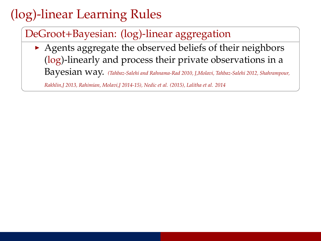# (log)-linear Learning Rules

#### DeGroot+Bayesian: (log)-linear aggregation

 $\rightarrow$  Agents aggregate the observed beliefs of their neighbors (log)-linearly and process their private observations in a Bayesian way. *(Tahbaz-Salehi and Rahnama-Rad 2010, J,Molavi, Tahbaz-Salehi 2012, Shahrampour,*

*Rakhlin,J 2013, Rahimian, Molavi,J 2014-15), Nedic et al. (2015), Lalitha et al. 2014*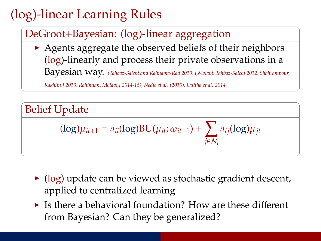# (log)-linear Learning Rules

#### DeGroot+Bayesian: (log)-linear aggregation

 $\rightarrow$  Agents aggregate the observed beliefs of their neighbors (log)-linearly and process their private observations in a Bayesian way. *(Tahbaz-Salehi and Rahnama-Rad 2010, J,Molavi, Tahbaz-Salehi 2012, Shahrampour,*

*Rakhlin,J 2013, Rahimian, Molavi,J 2014-15), Nedic et al. (2015), Lalitha et al. 2014*

Belief Update  $(\log)\mu_{it+1} = a_{ii}(\log)BU(\mu_{it}; \omega_{it+1}) + \sum$ *j*∈N*<sup>i</sup> aij*(log)µ*jt*

- $\triangleright$  (log) update can be viewed as stochastic gradient descent, applied to centralized learning
- $\blacktriangleright$  Is there a behavioral foundation? How are these different from Bayesian? Can they be generalized?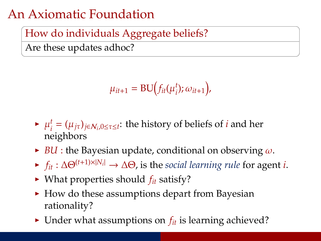### An Axiomatic Foundation

#### How do individuals Aggregate beliefs?

Are these updates adhoc?

$$
\mu_{it+1} = \mathrm{BU}\big(f_{it}(\mu_i^t); \omega_{it+1}\big),
$$

- $\blacktriangleright$   $\mu_i^t$  $S_i^t = (\mu_{j\tau})_{j \in \mathcal{N}_i, 0 \leq \tau \leq t}$ : the history of beliefs of *i* and her neighbors
- $\triangleright$  *BU* : the Bayesian update, conditional on observing  $\omega$ .
- <sup>I</sup> *<sup>f</sup>it* : ∆Θ(*t*+1)×|*N<sup>i</sup>* <sup>|</sup> → ∆Θ, is the *social learning rule* for agent *i*.
- $\blacktriangleright$  What properties should  $f_{it}$  satisfy?
- $\blacktriangleright$  How do these assumptions depart from Bayesian rationality?
- Inder what assumptions on  $f_{it}$  is learning achieved?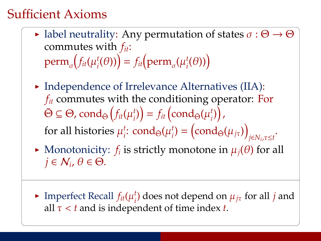## Sufficient Axioms

- label neutrality: Any permutation of states  $\sigma : \Theta \to \Theta$ commutes with *fit*:  $\text{perm}_{\sigma}\!\!\left(\!f_{it}(\mu_i^t)\!\right)$  $f_i(\theta)$ ) =  $f_{it}$  (perm<sub> $\sigma$ </sub> ( $\mu_i^t$  $_{i}^{t}(\theta))\Big)$
- $\blacktriangleright$  Independence of Irrelevance Alternatives (IIA): *fit* commutes with the conditioning operator: For  $\bar{\Theta} \subseteq \Theta$ ,  $\mathrm{cond}_{\bar{\Theta}}\big(f_{it}(\mu_i^t))$  $f_i$ ) $= f_{it}$  (cond<sub>Θ</sub>( $\mu_i^t$ t<sub>1</sub>) , for all histories  $\mu_i^t$  $_i^t$ : cond<sub>Θ</sub>( $\mu_i^t$  $\binom{t}{i} = \left(\text{cond}_{\bar{\Theta}}(\mu_{j\tau})\right)^{T}$ *j*∈*N<sup>i</sup>* ,τ≤*t* .
- $\blacktriangleright$  Monotonicity:  $f_i$  is strictly monotone in  $\mu_j(\theta)$  for all  $j \in \mathcal{N}_i$ ,  $\theta \in \Theta$ .
- $\blacktriangleright$  Imperfect Recall  $f_{it}(\mu_i^t)$  $\mu_{i}^{t}$  does not depend on  $\mu_{j\tau}$  for all *j* and all  $\tau < t$  and is independent of time index *t*.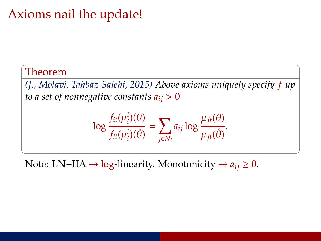### Axioms nail the update!

#### Theorem

*(J., Molavi, Tahbaz-Salehi, 2015) Above axioms uniquely specify f up to a set of nonnegative constants*  $a_{ij} > 0$ 

$$
\log \frac{f_{it}(\mu_i^t)(\theta)}{f_{it}(\mu_i^t)(\hat{\theta})} = \sum_{j \in N_i} a_{ij} \log \frac{\mu_{jt}(\theta)}{\mu_{jt}(\hat{\theta})}.
$$

Note: LN+IIA  $\rightarrow$  log-linearity. Monotonicity  $\rightarrow a_{ij} \geq 0$ .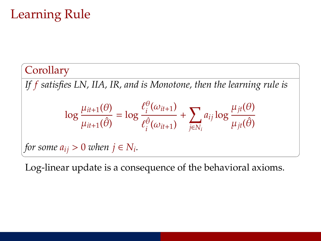# Learning Rule

**Corollary** *If f satisfies LN, IIA, IR, and is Monotone, then the learning rule is*  $\log \frac{\mu_{it+1}(\theta)}{2}$  $\frac{n+1}{\mu_{it+1}(\hat{\theta})} = \log$  $\ell_i^\theta$  $\frac{\partial}{\partial t}(\omega_{it+1})$  $\ell_i^{\hat{\theta}}(\omega_{it+1})$ *i*  $+\sum$ *j*∈*N<sup>i</sup> aij* log µ*jt*(θ)  $\mu_{jt}(\hat{\theta})$ *for some*  $a_{ij} > 0$  *when*  $j \in N_i$ .

Log-linear update is a consequence of the behavioral axioms.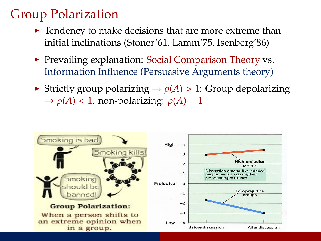# Group Polarization

- $\blacktriangleright$  Tendency to make decisions that are more extreme than initial inclinations (Stoner'61, Lamm'75, Isenberg'86)
- $\triangleright$  Prevailing explanation: Social Comparison Theory vs. Information Influence (Persuasive Arguments theory)
- $\triangleright$  Strictly group polarizing  $\rightarrow$   $\rho(A)$  > 1: Group depolarizing  $\rightarrow \rho(A)$  < 1. non-polarizing:  $\rho(A) = 1$

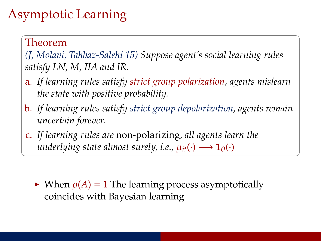# Asymptotic Learning

#### Theorem

*(J, Molavi, Tahbaz-Salehi 15) Suppose agent's social learning rules satisfy LN, M, IIA and IR.*

- a. *If learning rules satisfy strict group polarization, agents mislearn the state with positive probability.*
- b. *If learning rules satisfy strict group depolarization, agents remain uncertain forever.*
- c. *If learning rules are* non-polarizing*, all agents learn the underlying state almost surely, i.e.,*  $\mu_{it}(\cdot) \longrightarrow \mathbf{1}_{\theta}(\cdot)$

 $\triangleright$  When  $\rho(A) = 1$  The learning process asymptotically coincides with Bayesian learning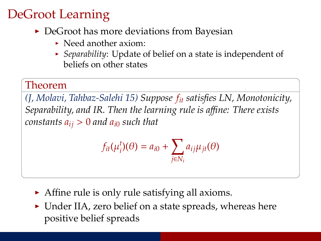# DeGroot Learning

- $\triangleright$  DeGroot has more deviations from Bayesian
	- $\triangleright$  Need another axiom:
	- **•** *Separability*: Update of belief on a state is independent of beliefs on other states

#### Theorem

*(J, Molavi, Tahbaz-Salehi 15) Suppose fit satisfies LN, Monotonicity, Separability, and IR. Then the learning rule is a*ffi*ne: There exists constants*  $a_{ij} > 0$  *and*  $a_{i0}$  *such that* 

$$
f_{it}(\mu_i^t)(\theta) = a_{i0} + \sum_{j \in N_i} a_{ij} \mu_{jt}(\theta)
$$

- $\blacktriangleright$  Affine rule is only rule satisfying all axioms.
- $\triangleright$  Under IIA, zero belief on a state spreads, whereas here positive belief spreads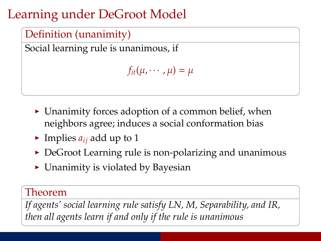# Learning under DeGroot Model



Social learning rule is unanimous, if

```
f_{it}(\mu, \cdots, \mu) = \mu
```
- $\triangleright$  Unanimity forces adoption of a common belief, when neighbors agree; induces a social conformation bias
- Implies  $a_{ij}$  add up to 1
- $\triangleright$  DeGroot Learning rule is non-polarizing and unanimous
- $\triangleright$  Unanimity is violated by Bayesian

#### Theorem

*If agents' social learning rule satisfy LN, M, Separability, and IR, then all agents learn if and only if the rule is unanimous*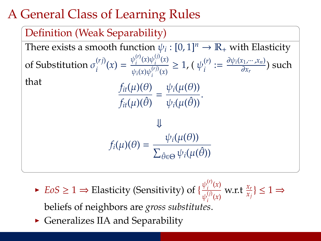# A General Class of Learning Rules



- $\blacktriangleright$  *EoS*  $\geq 1 \Rightarrow$  Elasticity (Sensitivity) of  $\{\frac{\psi_i^{(r)}(x)}{\sqrt{(r-x)}}\}$  $\frac{\psi_i^{\cdot \cdot (x)}}{\psi_i^{(j)}(x)}$  w.r.t  $\frac{x_r}{x_j}$ }  $\leq 1 \Rightarrow$ *i* beliefs of neighbors are *gross substitutes*.
- $\triangleright$  Generalizes IIA and Separability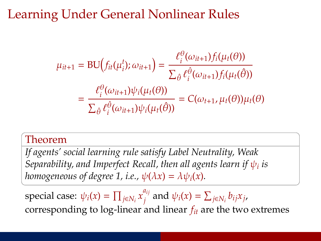# Learning Under General Nonlinear Rules

$$
\mu_{it+1} = \text{BU}\Big(f_{it}(\mu_i^t); \omega_{it+1}\Big) = \frac{\ell_i^{\theta}(\omega_{it+1})f_i(\mu_t(\theta))}{\sum_{\hat{\theta}} \ell_i^{\hat{\theta}}(\omega_{it+1})f_i(\mu_t(\hat{\theta}))}
$$

$$
= \frac{\ell_i^{\theta}(\omega_{it+1})\psi_i(\mu_t(\theta))}{\sum_{\hat{\theta}} \ell_i^{\hat{\theta}}(\omega_{it+1})\psi_i(\mu_t(\hat{\theta}))} = C(\omega_{t+1}, \mu_t(\theta))\mu_t(\theta)
$$

#### Theorem

*If agents' social learning rule satisfy Label Neutrality, Weak* Separability, and Imperfect Recall, then all agents learn if  $\psi_i$  is *homogeneous of degree 1, i.e.,*  $\psi(\lambda x) = \lambda \psi_i(x)$ .

special case:  $\psi_i(x) = \prod_{j \in N_i} x_j^{a_{ij}}$  $\psi_i^{u_{ij}}$  and  $\psi_i(x) = \sum_{j \in N_i} b_{ij} x_j$ corresponding to  $log$ -linear and linear  $f_{it}$  are the two extremes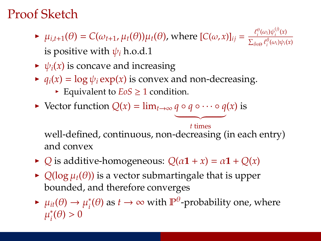# Proof Sketch

- $\mu_{i,t+1}(\theta) = C(\omega_{t+1}, \mu_t(\theta))\mu_t(\theta)$ , where  $[C(\omega, x)]_{ij} = \frac{\ell_i^{\theta}(\omega_i)\psi_i^{(j)}(x)}{\sum_{\theta \in \mathcal{S}} \ell_i^{\theta}(\omega_i)\psi_i^{(j)}}$  $\sum_{\hat{\theta}\in\Theta}\ell_i^{\hat{\theta}}(\omega_i)\psi_i(x)$ is positive with  $\psi_i$  h.o.d.1
- $\rightarrow \psi_i(x)$  is concave and increasing
- $\varphi$  *q*<sub>*i*</sub>(*x*) = log  $\psi$ *<sub><i>i*</sub> exp(*x*) is convex and non-decreasing.
	- Equivalent to  $E \circ S \geq 1$  condition.
- $\blacktriangleright$  Vector function  $Q(x) = \lim_{t \to \infty} q \circ q \circ \cdots \circ q(x)$  is

 $t$  times well-defined, continuous, non-decreasing (in each entry) and convex

- $\triangleright$  *Q* is additive-homogeneous:  $Q(\alpha \mathbf{1} + x) = \alpha \mathbf{1} + Q(x)$
- $\rightarrow$  *Q*(log  $\mu_t(\theta)$ ) is a vector submartingale that is upper bounded, and therefore converges
- $ightharpoonup \mu_{it}(\theta) \rightarrow \mu_i^*$  $\mathbf{f}_i^*(\theta)$  as  $t \to \infty$  with  $\mathbb{P}^{\theta}$ -probability one, where .<br>μ\*;  $i(\theta) > 0$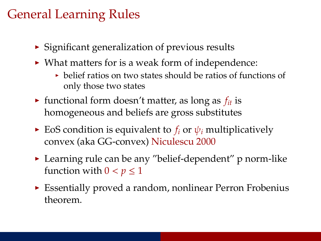## General Learning Rules

- $\triangleright$  Significant generalization of previous results
- $\triangleright$  What matters for is a weak form of independence:
	- $\rightarrow$  belief ratios on two states should be ratios of functions of only those two states
- In functional form doesn't matter, as long as  $f_{it}$  is homogeneous and beliefs are gross substitutes
- $\triangleright$  EoS condition is equivalent to  $f_i$  or  $\psi_i$  multiplicatively convex (aka GG-convex) Niculescu 2000
- $\blacktriangleright$  Learning rule can be any "belief-dependent" p norm-like function with  $0 < p \leq 1$
- $\triangleright$  Essentially proved a random, nonlinear Perron Frobenius theorem.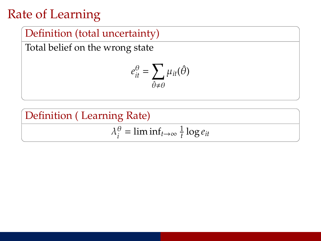# Rate of Learning

#### Definition (total uncertainty)

Total belief on the wrong state

$$
e_{it}^{\theta} = \sum_{\hat{\theta} \neq \theta} \mu_{it}(\hat{\theta})
$$

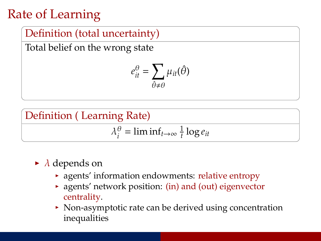# Rate of Learning

#### Definition (total uncertainty)

Total belief on the wrong state

$$
e_{it}^{\theta} = \sum_{\hat{\theta} \neq \theta} \mu_{it}(\hat{\theta})
$$



$$
\lambda_i^{\theta} = \liminf_{t \to \infty} \frac{1}{t} \log e_{it}
$$

- $\blacktriangleright$   $\lambda$  depends on
	- $\rightarrow$  agents' information endowments: relative entropy
	- $\rightarrow$  agents' network position: (in) and (out) eigenvector centrality.
	- $\triangleright$  Non-asymptotic rate can be derived using concentration inequalities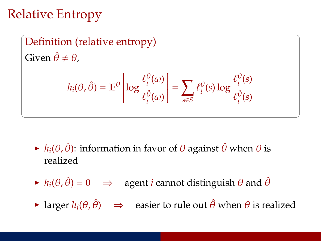# Relative Entropy



- $\blacktriangleright$  *h*<sub>*i*</sub>( $\theta$ ,  $\hat{\theta}$ ): information in favor of  $\theta$  against  $\hat{\theta}$  when  $\theta$  is realized
- $\hat{h}_i(\theta, \hat{\theta}) = 0 \implies$  agent *i* cannot distinguish  $\theta$  and  $\hat{\theta}$
- $\triangleright$  larger  $h_i(\theta, \hat{\theta}) \implies$  easier to rule out  $\hat{\theta}$  when  $\theta$  is realized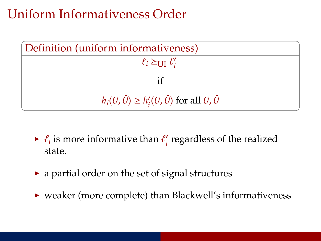### Uniform Informativeness Order

| Definition (uniform informativeness)                                                       |
|--------------------------------------------------------------------------------------------|
| $\ell_i \succeq_{\text{UI}} \ell'_i$                                                       |
|                                                                                            |
| $h_i(\theta, \hat{\theta}) \geq h'_i(\theta, \hat{\theta})$ for all $\theta, \hat{\theta}$ |

- $\blacktriangleright$   $\ell_i$  is more informative than  $\ell_i'$ *i* regardless of the realized state.
- $\blacktriangleright$  a partial order on the set of signal structures
- $\rightarrow$  weaker (more complete) than Blackwell's informativeness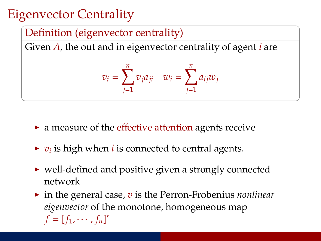# Eigenvector Centrality

#### Definition (eigenvector centrality)

Given *A*, the out and in eigenvector centrality of agent *i* are

$$
v_i = \sum_{j=1}^n v_j a_{ji} \quad w_i = \sum_{j=1}^n a_{ij} w_j
$$

- $\triangleright$  a measure of the effective attention agents receive
- $\blacktriangleright$   $v_i$  is high when *i* is connected to central agents.
- $\triangleright$  well-defined and positive given a strongly connected network
- ► in the general case, *v* is the Perron-Frobenius *nonlinear eigenvector* of the monotone, homogeneous map  $f = [f_1, \cdots, f_n]'$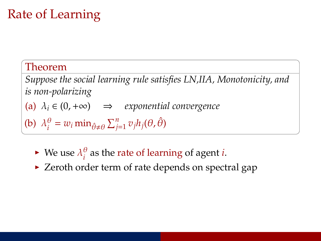# Rate of Learning

#### Theorem

*Suppose the social learning rule satisfies LN,IIA, Monotonicity, and is non-polarizing*

(a) λ*<sup>i</sup>* ∈ (0,+∞) ⇒ *exponential convergence*

(b)  $\lambda_i^{\theta}$  $\hat{\theta}$  =  $w_i$  min $\hat{\theta} \neq \theta$   $\sum_{j=1}^n v_j h_j(\theta, \hat{\theta})$ 

- $\blacktriangleright$  We use  $\lambda_i^{\theta}$ *i* as the rate of learning of agent *i*.
- $\triangleright$  Zeroth order term of rate depends on spectral gap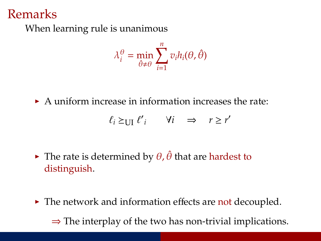#### Remarks

When learning rule is unanimous

$$
\lambda_i^{\theta} = \min_{\hat{\theta} \neq \theta} \sum_{i=1}^n v_i h_i(\theta, \hat{\theta})
$$

 $\triangleright$  A uniform increase in information increases the rate:

$$
\ell_i \succeq_{\text{UI}} \ell'_i \qquad \forall i \quad \Rightarrow \quad r \ge r'
$$

- $\triangleright$  The rate is determined by  $\theta$ ,  $\hat{\theta}$  that are hardest to distinguish.
- $\blacktriangleright$  The network and information effects are not decoupled.  $\Rightarrow$  The interplay of the two has non-trivial implications.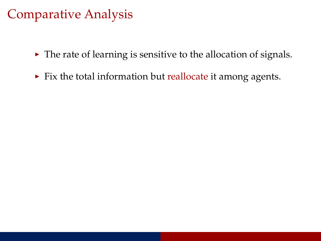## Comparative Analysis

- $\blacktriangleright$  The rate of learning is sensitive to the allocation of signals.
- $\blacktriangleright$  Fix the total information but reallocate it among agents.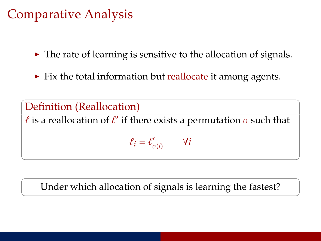### Comparative Analysis

- $\triangleright$  The rate of learning is sensitive to the allocation of signals.
- $\blacktriangleright$  Fix the total information but reallocate it among agents.

Definition (Reallocation)  $\ell$  is a reallocation of  $\ell'$  if there exists a permutation  $\sigma$  such that  $\ell_i = \ell'_c$ σ(*i*) ∀*i*

Under which allocation of signals is learning the fastest?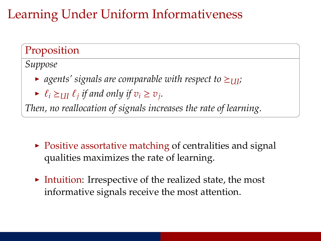# Learning Under Uniform Informativeness

#### Proposition

*Suppose*

- agents' signals are comparable with respect to  $\geq$ <sub>III</sub>;
- ►  $\ell_i \geq \text{UII} \ \ell_j \ \text{if and only if} \ v_i \geq v_j.$

*Then, no reallocation of signals increases the rate of learning.*

- $\triangleright$  Positive assortative matching of centralities and signal qualities maximizes the rate of learning.
- Intuition: Irrespective of the realized state, the most informative signals receive the most attention.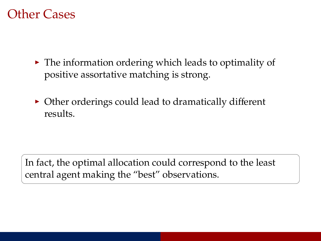#### Other Cases

- $\blacktriangleright$  The information ordering which leads to optimality of positive assortative matching is strong.
- $\triangleright$  Other orderings could lead to dramatically different results.

In fact, the optimal allocation could correspond to the least central agent making the "best" observations.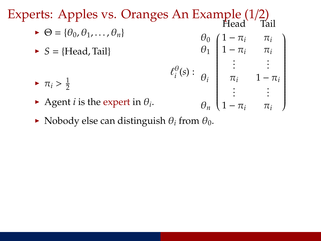Experts: Apples vs. Oranges An Example (1/2)

- $\blacktriangleright \Theta = \{\theta_0, \theta_1, \ldots, \theta_n\}$  $\triangleright$  *S* = {Head, Tail}  $\theta_0$   $\int 1 - \pi_i$   $\pi_i$ Head Tail  $\theta_1$  | 1 –  $\pi_i$   $\pi_i$  $:$   $:$   $:$  $\lambda$  $\left\lfloor \frac{1}{\sqrt{1-\frac{1}{2}}}\right\rfloor$
- $\ell_i^\theta$  $\binom{0}{i}(s)$ :  $\theta_i$   $\pi_i$  1 −  $\pi_i$  $\vdots$  :  $\blacktriangleright \pi_i > \frac{1}{2}$ 2

 $\theta_n$   $\left(1 - \pi_i \right)$   $\pi_i$ 

- Agent *i* is the expert in  $\theta_i$ .
- $\blacktriangleright$  Nobody else can distinguish  $\theta_i$  from  $\theta_0$ .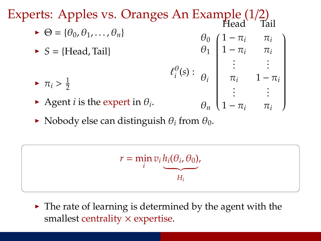Experts: Apples vs. Oranges An Example (1/2)

 $\blacktriangleright \Theta = \{\theta_0, \theta_1, \ldots, \theta_n\}$  $S = {Head, Tail}$  $\ell_i^\theta$  $\theta_0$   $\int 1 - \pi_i$   $\pi_i$  Head Tail  $\theta_1$  | 1 –  $\pi_i$   $\pi_i$  $:$   $:$   $:$  $\lambda$  $\left\lfloor \frac{1}{\sqrt{1-\frac{1}{2}}}\right\rfloor$ 

 $\binom{0}{i}(s)$ :

 $\theta_i$   $\pi_i$  1 −  $\pi_i$  $\vdots$  :

 $\theta_n$   $\left(1 - \pi_i \right)$   $\pi_i$ 

- $\blacktriangleright \pi_i > \frac{1}{2}$ 2
- Agent *i* is the expert in  $\theta_i$ .
- $\blacktriangleright$  Nobody else can distinguish  $\theta_i$  from  $\theta_0$ .

$$
r = \min_{i} v_i \underbrace{h_i(\theta_i, \theta_0)}_{H_i},
$$

 $\triangleright$  The rate of learning is determined by the agent with the smallest centrality  $\times$  expertise.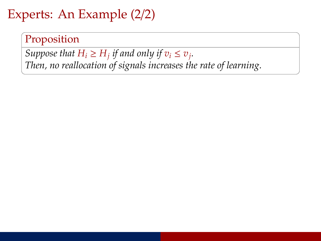## Experts: An Example (2/2)

Proposition

*Suppose that*  $H_i \geq H_j$  *if and only if*  $v_i \leq v_j$ *. Then, no reallocation of signals increases the rate of learning.*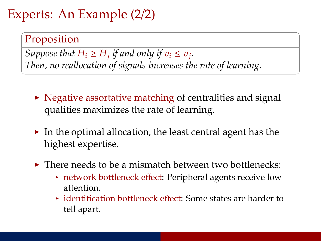# Experts: An Example (2/2)

#### Proposition

*Suppose that*  $H_i \geq H_j$  *if and only if*  $v_i \leq v_j$ *. Then, no reallocation of signals increases the rate of learning.*

- $\triangleright$  Negative assortative matching of centralities and signal qualities maximizes the rate of learning.
- $\triangleright$  In the optimal allocation, the least central agent has the highest expertise.
- $\triangleright$  There needs to be a mismatch between two bottlenecks:
	- $\rightarrow$  network bottleneck effect: Peripheral agents receive low attention.
	- $\rightarrow$  identification bottleneck effect: Some states are harder to tell apart.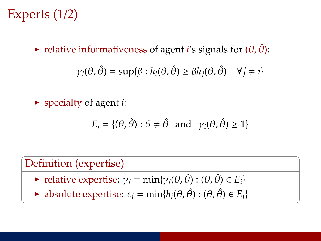# Experts (1/2)

relative informativeness of agent *i*'s signals for  $(\theta, \hat{\theta})$ :

$$
\gamma_i(\theta, \hat{\theta}) = \sup \{ \beta : h_i(\theta, \hat{\theta}) \ge \beta h_j(\theta, \hat{\theta}) \quad \forall j \ne i \}
$$

 $\triangleright$  specialty of agent *i*:

$$
E_i = \{(\theta, \hat{\theta}) : \theta \neq \hat{\theta} \text{ and } \gamma_i(\theta, \hat{\theta}) \ge 1\}
$$

#### Definition (expertise)

- relative expertise:  $\gamma_i = \min{\gamma_i(\theta, \hat{\theta}) : (\theta, \hat{\theta}) \in E_i}$
- $\blacktriangleright$  absolute expertise:  $\varepsilon_i = \min\{h_i(\theta, \hat{\theta}) : (\theta, \hat{\theta}) \in E_i\}$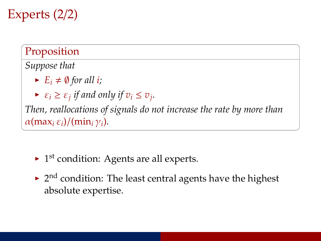Experts (2/2)

Proposition

*Suppose that*

- $\blacktriangleright$   $E_i \neq \emptyset$  for all *i*;
- $\blacktriangleright$   $\varepsilon_i \geq \varepsilon_j$  *if and only if*  $v_i \leq v_j$ *.*

*Then, reallocations of signals do not increase the rate by more than*  $\alpha$ (max<sub>*i*</sub>  $\varepsilon$ *i*)/(min<sub>*i*</sub>  $\gamma$ *i*).

- $\blacktriangleright$  1<sup>st</sup> condition: Agents are all experts.
- $\blacktriangleright$  2<sup>nd</sup> condition: The least central agents have the highest absolute expertise.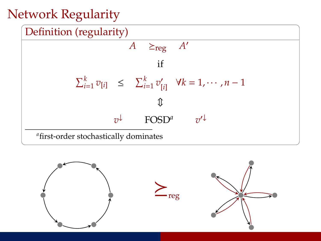# Network Regularity



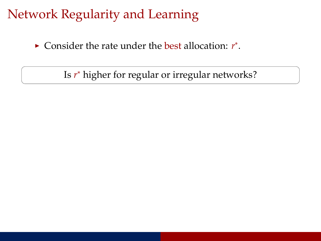## Network Regularity and Learning

► Consider the rate under the best allocation: *r*<sup>\*</sup>.

Is *r* <sup>∗</sup> higher for regular or irregular networks?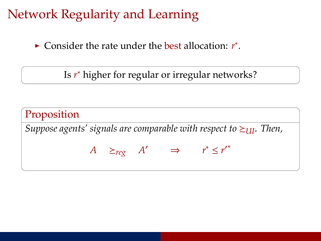## Network Regularity and Learning

► Consider the rate under the best allocation: *r*<sup>\*</sup>.

Is *r* <sup>∗</sup> higher for regular or irregular networks?

Proposition *Suppose agents' signals are comparable with respect to*  $\geq$ <sub>*III</sub>*. *Then,*</sub>  $A \geq_{reg} A' \Rightarrow r^* \leq r'^*$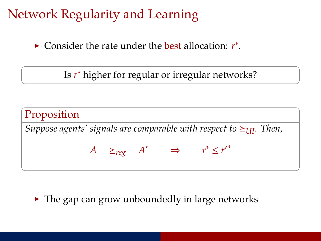# Network Regularity and Learning

► Consider the rate under the best allocation: *r*<sup>\*</sup>.

Is *r* <sup>∗</sup> higher for regular or irregular networks?

**Proposition**  
Suppose agents' signals are comparable with respect to 
$$
\geq_{UI}
$$
. Then,  
 $A \geq_{reg} A' \Rightarrow r^* \leq r'^*$ 

 $\blacktriangleright$  The gap can grow unboundedly in large networks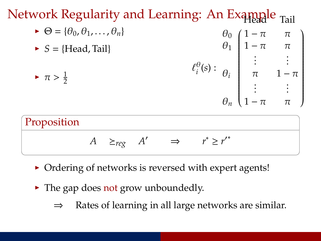

- $\triangleright$  Ordering of networks is reversed with expert agents!
- $\blacktriangleright$  The gap does not grow unboundedly.
	- ⇒ Rates of learning in all large networks are similar.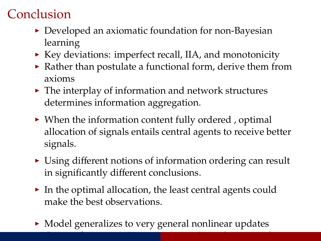# Conclusion

- $\triangleright$  Developed an axiomatic foundation for non-Bayesian learning
- $\blacktriangleright$  Key deviations: imperfect recall, IIA, and monotonicity
- $\triangleright$  Rather than postulate a functional form, derive them from axioms
- $\blacktriangleright$  The interplay of information and network structures determines information aggregation.
- $\triangleright$  When the information content fully ordered , optimal allocation of signals entails central agents to receive better signals.
- $\triangleright$  Using different notions of information ordering can result in significantly different conclusions.
- $\triangleright$  In the optimal allocation, the least central agents could make the best observations.
- $\triangleright$  Model generalizes to very general nonlinear updates

In the ti[m](#page-0-0)e  $\mathcal{L}_\text{max}$  and  $\mathcal{L}_\text{max}$  and  $\mathcal{L}_\text{max}$  and  $\mathcal{L}_\text{max}$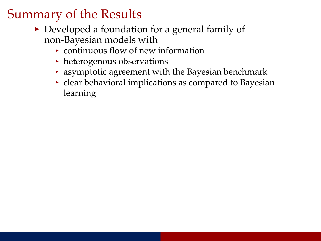- $\triangleright$  Developed a foundation for a general family of non-Bayesian models with
	- $\triangleright$  continuous flow of new information
	- $\blacktriangleright$  heterogenous observations
	- $\rightarrow$  asymptotic agreement with the Bayesian benchmark
	- $\rightarrow$  clear behavioral implications as compared to Bayesian learning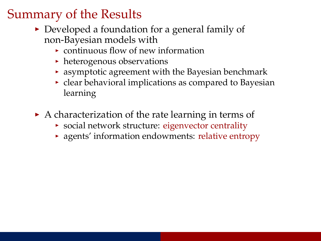- $\triangleright$  Developed a foundation for a general family of non-Bayesian models with
	- $\rightarrow$  continuous flow of new information
	- $\blacktriangleright$  heterogenous observations
	- $\rightarrow$  asymptotic agreement with the Bayesian benchmark
	- $\rightarrow$  clear behavioral implications as compared to Bayesian learning
- $\triangleright$  A characterization of the rate learning in terms of
	- $\rightarrow$  social network structure: eigenvector centrality
	- $\rightarrow$  agents' information endowments: relative entropy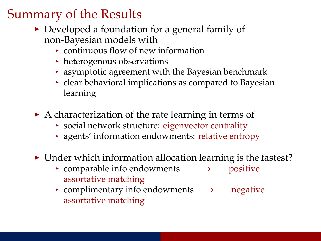- $\triangleright$  Developed a foundation for a general family of non-Bayesian models with
	- $\rightarrow$  continuous flow of new information
	- $\blacktriangleright$  heterogenous observations
	- $\rightarrow$  asymptotic agreement with the Bayesian benchmark
	- $\rightarrow$  clear behavioral implications as compared to Bayesian learning
- $\triangleright$  A characterization of the rate learning in terms of
	- $\rightarrow$  social network structure: eigenvector centrality
	- $\rightarrow$  agents' information endowments: relative entropy
- $\triangleright$  Under which information allocation learning is the fastest?
	- <sup>I</sup> comparable info endowments ⇒ positive assortative matching
	- <sup>I</sup> complimentary info endowments ⇒ negative assortative matching